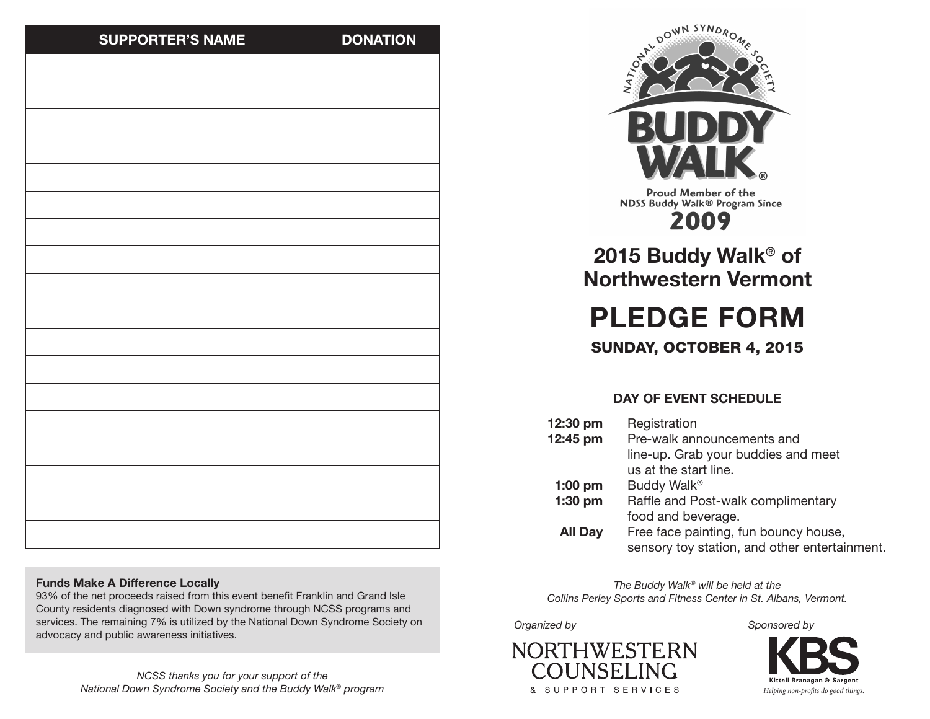| <b>SUPPORTER'S NAME</b> | <b>DONATION</b> |
|-------------------------|-----------------|
|                         |                 |
|                         |                 |
|                         |                 |
|                         |                 |
|                         |                 |
|                         |                 |
|                         |                 |
|                         |                 |
|                         |                 |
|                         |                 |
|                         |                 |
|                         |                 |
|                         |                 |
|                         |                 |
|                         |                 |
|                         |                 |
|                         |                 |
|                         |                 |
|                         |                 |

### **Funds Make A Difference Locally**

93% of the net proceeds raised from this event benefit Franklin and Grand Isle County residents diagnosed with Down syndrome through NCSS programs and services. The remaining 7% is utilized by the National Down Syndrome Society on advocacy and public awareness initiatives.



**Proud Member of the NDSS Buddy Walk® Program Since** 2009

**2015 Buddy Walk**® **of Northwestern Vermont**

**PLEDGE FORM**

SUNDAY, OCTOBER 4, 2015

## **DAY OF EVENT SCHEDULE**

12:30 pm Registration **12:45 pm** Pre-walk announcements and line-up. Grab your buddies and meet us at the start line. **1:00 pm** Buddy Walk® **1:30 pm** Raffle and Post-walk complimentary food and beverage. **All Day** Free face painting, fun bouncy house, sensory toy station, and other entertainment.

*The Buddy Walk® will be held at the Collins Perley Sports and Fitness Center in St. Albans, Vermont.*

#### *Organized by*



*Sponsored by*